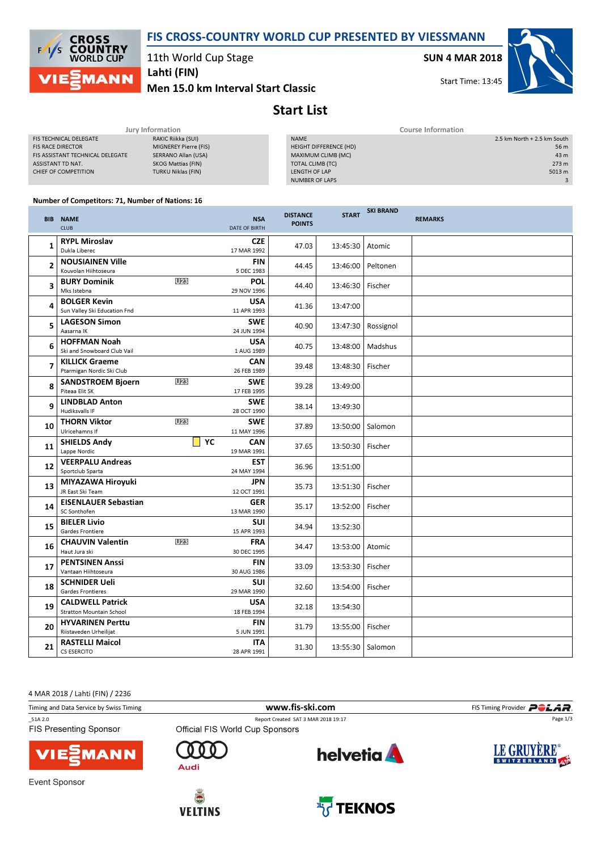



11th World Cup Stage

Men 15.0 km Interval Start Classic Lahti (FIN)

SUN 4 MAR 2018

Start Time: 13:45



# Start List

|                                  | Jury Information          | Course Information     |                             |  |  |
|----------------------------------|---------------------------|------------------------|-----------------------------|--|--|
| <b>FIS TECHNICAL DELEGATE</b>    | RAKIC Riikka (SUI)        | <b>NAME</b>            | 2.5 km North + 2.5 km South |  |  |
| <b>FIS RACE DIRECTOR</b>         | MIGNEREY Pierre (FIS)     | HEIGHT DIFFERENCE (HD) | 56 m                        |  |  |
| FIS ASSISTANT TECHNICAL DELEGATE | SERRANO Allan (USA)       | MAXIMUM CLIMB (MC)     | 43 m                        |  |  |
| ASSISTANT TD NAT.                | SKOG Mattias (FIN)        | TOTAL CLIMB (TC)       | 273 m                       |  |  |
| CHIEF OF COMPETITION             | <b>TURKU Niklas (FIN)</b> | LENGTH OF LAP          | 5013 m                      |  |  |
|                                  |                           | <b>NUMBER OF LAPS</b>  |                             |  |  |
|                                  |                           |                        |                             |  |  |

#### Number of Competitors: 71, Number of Nations: 16

|    | <b>BIB NAME</b><br><b>CLUB</b>                             |                 | <b>NSA</b><br>DATE OF BIRTH | <b>DISTANCE</b><br><b>POINTS</b> | <b>START</b> | <b>SKI BRAND</b>   | <b>REMARKS</b> |
|----|------------------------------------------------------------|-----------------|-----------------------------|----------------------------------|--------------|--------------------|----------------|
| 1  | <b>RYPL Miroslav</b><br>Dukla Liberec                      |                 | <b>CZE</b><br>17 MAR 1992   | 47.03                            | 13:45:30     | Atomic             |                |
| 2  | <b>NOUSIAINEN Ville</b><br>Kouvolan Hiihtoseura            |                 | <b>FIN</b><br>5 DEC 1983    | 44.45                            | 13:46:00     | Peltonen           |                |
| 3  | <b>BURY Dominik</b><br>Mks Istebna                         | U <sub>23</sub> | <b>POL</b><br>29 NOV 1996   | 44.40                            | 13:46:30     | Fischer            |                |
| 4  | <b>BOLGER Kevin</b><br>Sun Valley Ski Education Fnd        |                 | <b>USA</b><br>11 APR 1993   | 41.36                            | 13:47:00     |                    |                |
| 5  | <b>LAGESON Simon</b><br>Aasarna IK                         |                 | <b>SWE</b><br>24 JUN 1994   | 40.90                            | 13:47:30     | Rossignol          |                |
| 6  | <b>HOFFMAN Noah</b><br>Ski and Snowboard Club Vail         |                 | <b>USA</b><br>1 AUG 1989    | 40.75                            | 13:48:00     | Madshus            |                |
| 7  | <b>KILLICK Graeme</b><br>Ptarmigan Nordic Ski Club         |                 | CAN<br>26 FEB 1989          | 39.48                            | 13:48:30     | Fischer            |                |
| 8  | <b>SANDSTROEM Bjoern</b><br>Piteaa Elit SK                 | U <sub>23</sub> | <b>SWE</b><br>17 FEB 1995   | 39.28                            | 13:49:00     |                    |                |
| 9  | <b>LINDBLAD Anton</b><br><b>Hudiksvalls IF</b>             |                 | <b>SWE</b><br>28 OCT 1990   | 38.14                            | 13:49:30     |                    |                |
| 10 | <b>THORN Viktor</b><br>Ulricehamns If                      | U <sub>23</sub> | <b>SWE</b><br>11 MAY 1996   | 37.89                            | 13:50:00     | Salomon            |                |
| 11 | <b>SHIELDS Andy</b><br>Lappe Nordic                        | YC              | <b>CAN</b><br>19 MAR 1991   | 37.65                            | 13:50:30     | Fischer            |                |
| 12 | <b>VEERPALU Andreas</b><br>Sportclub Sparta                |                 | <b>EST</b><br>24 MAY 1994   | 36.96                            | 13:51:00     |                    |                |
| 13 | MIYAZAWA Hiroyuki<br>JR East Ski Team                      |                 | JPN<br>12 OCT 1991          | 35.73                            | 13:51:30     | Fischer            |                |
| 14 | <b>EISENLAUER Sebastian</b><br>SC Sonthofen                |                 | <b>GER</b><br>13 MAR 1990   | 35.17                            | 13:52:00     | Fischer            |                |
| 15 | <b>BIELER Livio</b><br>Gardes Frontiere                    |                 | <b>SUI</b><br>15 APR 1993   | 34.94                            | 13:52:30     |                    |                |
| 16 | <b>CHAUVIN Valentin</b><br>Haut Jura ski                   | U23             | <b>FRA</b><br>30 DEC 1995   | 34.47                            | 13:53:00     | Atomic             |                |
| 17 | <b>PENTSINEN Anssi</b><br>Vantaan Hiihtoseura              |                 | <b>FIN</b><br>30 AUG 1986   | 33.09                            | 13:53:30     | Fischer            |                |
| 18 | <b>SCHNIDER Ueli</b><br>Gardes Frontieres                  |                 | SUI<br>29 MAR 1990          | 32.60                            | 13:54:00     | Fischer            |                |
| 19 | <b>CALDWELL Patrick</b><br><b>Stratton Mountain School</b> |                 | <b>USA</b><br>18 FEB 1994   | 32.18                            | 13:54:30     |                    |                |
| 20 | <b>HYVARINEN Perttu</b><br>Riistaveden Urheilijat          |                 | <b>FIN</b><br>5 JUN 1991    | 31.79                            | 13:55:00     | Fischer            |                |
| 21 | <b>RASTELLI Maicol</b><br>CS ESERCITO                      |                 | ITA<br>28 APR 1991          | 31.30                            |              | 13:55:30   Salomon |                |

4 MAR 2018 / Lahti (FIN) / 2236

Timing and Data Service by Swiss Timing **WED 2008 WWW.fis-Ski.com FIS Timing Provider** PCLAR. \_51A 2.0 Report Created SAT 3 MAR 2018 19:17 Page 1/3FIS Presenting Sponsor LE GRUYÈRE® **helvetia** n n  $\Gamma$ 1ANN SWITZERLAND 400 Audi Event Sponsor



 $\sum$ 

**VELTINS** 

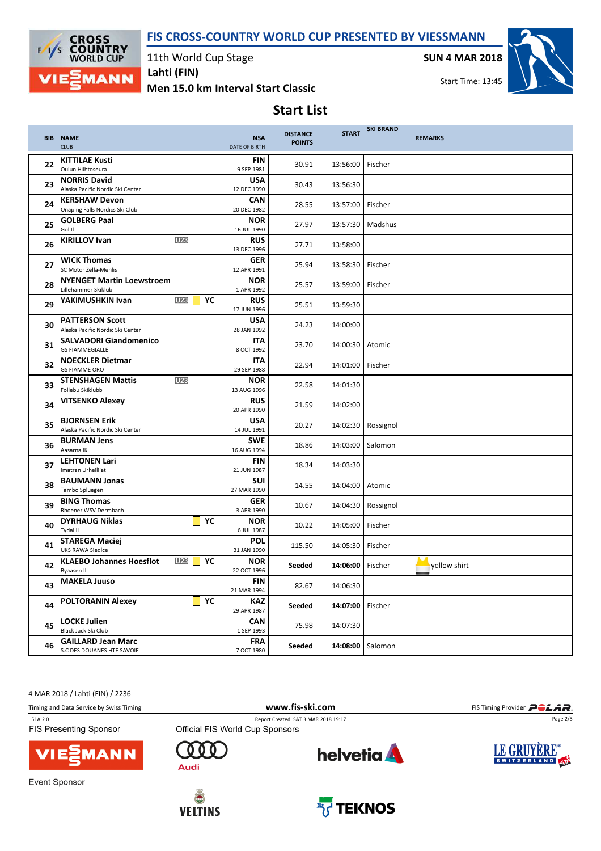## FIS CROSS-COUNTRY WORLD CUP PRESENTED BY VIESSMANN



11th World Cup Stage

Men 15.0 km Interval Start Classic Lahti (FIN)

SUN 4 MAR 2018



Start Time: 13:45

# Start List

|    | <b>BIB NAME</b><br><b>CLUB</b>                             |                                      | <b>NSA</b><br>DATE OF BIRTH | <b>DISTANCE</b><br><b>POINTS</b> | <b>START</b> | <b>SKI BRAND</b> | <b>REMARKS</b> |
|----|------------------------------------------------------------|--------------------------------------|-----------------------------|----------------------------------|--------------|------------------|----------------|
| 22 | <b>KITTILAE Kusti</b><br>Oulun Hiihtoseura                 |                                      | <b>FIN</b><br>9 SEP 1981    | 30.91                            | 13:56:00     | Fischer          |                |
| 23 | <b>NORRIS David</b><br>Alaska Pacific Nordic Ski Center    |                                      | <b>USA</b><br>12 DEC 1990   | 30.43                            | 13:56:30     |                  |                |
| 24 | <b>KERSHAW Devon</b><br>Onaping Falls Nordics Ski Club     |                                      | <b>CAN</b><br>20 DEC 1982   | 28.55                            | 13:57:00     | Fischer          |                |
| 25 | <b>GOLBERG Paal</b><br>Gol II                              |                                      | <b>NOR</b><br>16 JUL 1990   | 27.97                            | 13:57:30     | Madshus          |                |
| 26 | <b>KIRILLOV Ivan</b>                                       | U <sub>23</sub>                      | <b>RUS</b><br>13 DEC 1996   | 27.71                            | 13:58:00     |                  |                |
| 27 | <b>WICK Thomas</b><br>SC Motor Zella-Mehlis                |                                      | <b>GER</b><br>12 APR 1991   | 25.94                            | 13:58:30     | Fischer          |                |
| 28 | <b>NYENGET Martin Loewstroem</b><br>Lillehammer Skiklub    |                                      | <b>NOR</b><br>1 APR 1992    | 25.57                            | 13:59:00     | Fischer          |                |
| 29 | YAKIMUSHKIN Ivan                                           | <b>U23</b> YC                        | <b>RUS</b><br>17 JUN 1996   | 25.51                            | 13:59:30     |                  |                |
| 30 | <b>PATTERSON Scott</b><br>Alaska Pacific Nordic Ski Center |                                      | <b>USA</b><br>28 JAN 1992   | 24.23                            | 14:00:00     |                  |                |
| 31 | <b>SALVADORI Giandomenico</b><br><b>GS FIAMMEGIALLE</b>    |                                      | <b>ITA</b><br>8 OCT 1992    | 23.70                            | 14:00:30     | Atomic           |                |
| 32 | <b>NOECKLER Dietmar</b><br><b>GS FIAMME ORO</b>            |                                      | <b>ITA</b><br>29 SEP 1988   | 22.94                            | 14:01:00     | Fischer          |                |
| 33 | <b>STENSHAGEN Mattis</b><br>Follebu Skiklubb               | U <sub>23</sub>                      | <b>NOR</b><br>13 AUG 1996   | 22.58                            | 14:01:30     |                  |                |
| 34 | <b>VITSENKO Alexey</b>                                     |                                      | <b>RUS</b><br>20 APR 1990   | 21.59                            | 14:02:00     |                  |                |
| 35 | <b>BJORNSEN Erik</b><br>Alaska Pacific Nordic Ski Center   |                                      | <b>USA</b><br>14 JUL 1991   | 20.27                            | 14:02:30     | Rossignol        |                |
| 36 | <b>BURMAN Jens</b><br>Aasarna IK                           |                                      | <b>SWE</b><br>16 AUG 1994   | 18.86                            | 14:03:00     | Salomon          |                |
| 37 | <b>LEHTONEN Lari</b><br>Imatran Urheilijat                 |                                      | <b>FIN</b><br>21 JUN 1987   | 18.34                            | 14:03:30     |                  |                |
| 38 | <b>BAUMANN Jonas</b><br>Tambo Spluegen                     |                                      | <b>SUI</b><br>27 MAR 1990   | 14.55                            | 14:04:00     | Atomic           |                |
| 39 | <b>BING Thomas</b><br>Rhoener WSV Dermbach                 |                                      | <b>GER</b><br>3 APR 1990    | 10.67                            | 14:04:30     | Rossignol        |                |
| 40 | <b>DYRHAUG Niklas</b><br>Tydal IL                          | YC                                   | <b>NOR</b><br>6 JUL 1987    | 10.22                            | 14:05:00     | Fischer          |                |
| 41 | <b>STAREGA Maciej</b><br><b>UKS RAWA Siedlce</b>           |                                      | <b>POL</b><br>31 JAN 1990   | 115.50                           | 14:05:30     | Fischer          |                |
| 42 | <b>KLAEBO Johannes Hoesflot</b><br>Byaasen II              | U <sub>23</sub><br>$\blacksquare$ YC | <b>NOR</b><br>22 OCT 1996   | Seeded                           | 14:06:00     | Fischer          | yellow shirt   |
| 43 | <b>MAKELA Juuso</b>                                        |                                      | <b>FIN</b><br>21 MAR 1994   | 82.67                            | 14:06:30     |                  |                |
| 44 | <b>POLTORANIN Alexey</b>                                   | $\blacksquare$                       | <b>KAZ</b><br>29 APR 1987   | Seeded                           | 14:07:00     | Fischer          |                |
| 45 | <b>LOCKE Julien</b><br>Black Jack Ski Club                 |                                      | <b>CAN</b><br>1 SEP 1993    | 75.98                            | 14:07:30     |                  |                |
| 46 | <b>GAILLARD Jean Marc</b><br>S.C DES DOUANES HTE SAVOIE    |                                      | <b>FRA</b><br>7 OCT 1980    | Seeded                           | 14:08:00     | Salomon          |                |

4 MAR 2018 / Lahti (FIN) / 2236

| Timing and Data Service by Swiss Timing | www.fis-ski.com                     | FIS Timing Provider <b>POLAR</b> .<br>Page 2/3 |             |
|-----------------------------------------|-------------------------------------|------------------------------------------------|-------------|
| 51A 2.0                                 | Report Created SAT 3 MAR 2018 19:17 |                                                |             |
| <b>FIS Presenting Sponsor</b>           | Official FIS World Cup Sponsors     |                                                |             |
| <b>VIE</b> MANN                         | Audi                                | <b>helvetia</b>                                | LE GRUYÈRE® |
| Event Sponsor                           | $-0.04 + -$                         |                                                |             |